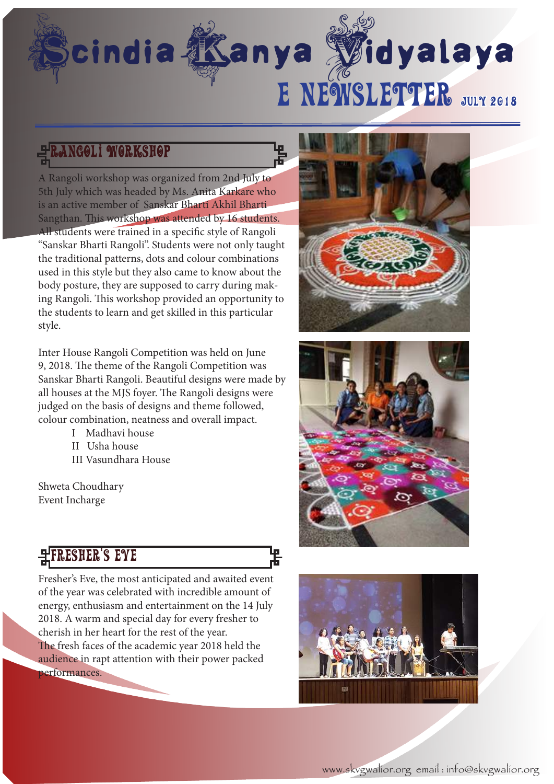# cindia **Kanya Vidyalaya**

# rangoli workshop

A Rangoli workshop was organized from 2nd July to 5th July which was headed by Ms. Anita Karkare who is an active member of Sanskar Bharti Akhil Bharti Sangthan. This workshop was attended by 16 students. All students were trained in a specific style of Rangoli "Sanskar Bharti Rangoli". Students were not only taught the traditional patterns, dots and colour combinations used in this style but they also came to know about the body posture, they are supposed to carry during making Rangoli. This workshop provided an opportunity to the students to learn and get skilled in this particular style.

Inter House Rangoli Competition was held on June 9, 2018. The theme of the Rangoli Competition was Sanskar Bharti Rangoli. Beautiful designs were made by all houses at the MJS foyer. The Rangoli designs were judged on the basis of designs and theme followed, colour combination, neatness and overall impact.

- I Madhavi house
- II Usha house
- III Vasundhara House

Shweta Choudhary Event Incharge

# **HFRESHER'S EYE**

Fresher's Eve, the most anticipated and awaited event of the year was celebrated with incredible amount of energy, enthusiasm and entertainment on the 14 July 2018. A warm and special day for every fresher to cherish in her heart for the rest of the year. The fresh faces of the academic year 2018 held the audience in rapt attention with their power packed performances.





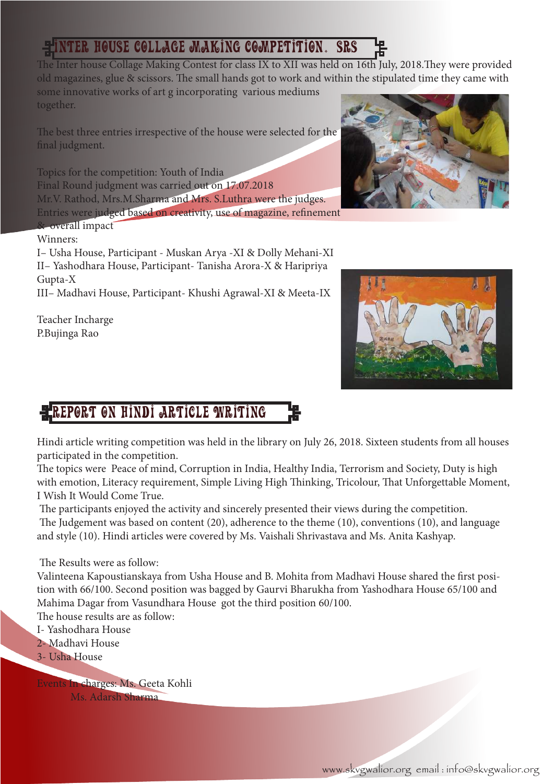# Inter House Collage Making Competition. (Srs

The Inter house Collage Making Contest for class IX to XII was held on 16th July, 2018.They were provided old magazines, glue & scissors. The small hands got to work and within the stipulated time they came with some innovative works of art g incorporating various mediums together.

The best three entries irrespective of the house were selected for the final judgment.

Topics for the competition: Youth of India Final Round judgment was carried out on 17.07.2018 Mr.V. Rathod, Mrs.M.Sharma and Mrs. S.Luthra were the judges. Entries were judged based on creativity, use of magazine, refinement

## & overall impact

Winners:

I– Usha House, Participant - Muskan Arya -XI & Dolly Mehani-XI II– Yashodhara House, Participant- Tanisha Arora-X & Haripriya Gupta-X

III– Madhavi House, Participant- Khushi Agrawal-XI & Meeta-IX

Teacher Incharge P.Bujinga Rao





# REPORT ON HINDI ARTICLE WRITING

Hindi article writing competition was held in the library on July 26, 2018. Sixteen students from all houses participated in the competition.

The topics were Peace of mind, Corruption in India, Healthy India, Terrorism and Society, Duty is high with emotion, Literacy requirement, Simple Living High Thinking, Tricolour, That Unforgettable Moment, I Wish It Would Come True.

The participants enjoyed the activity and sincerely presented their views during the competition.

 The Judgement was based on content (20), adherence to the theme (10), conventions (10), and language and style (10). Hindi articles were covered by Ms. Vaishali Shrivastava and Ms. Anita Kashyap.

The Results were as follow:

Valinteena Kapoustianskaya from Usha House and B. Mohita from Madhavi House shared the first position with 66/100. Second position was bagged by Gaurvi Bharukha from Yashodhara House 65/100 and Mahima Dagar from Vasundhara House got the third position 60/100.

The house results are as follow:

- I- Yashodhara House
- 2- Madhavi House
- 3- Usha House

Events In charges: Ms. Geeta Kohli

Ms. Adarsh Sharma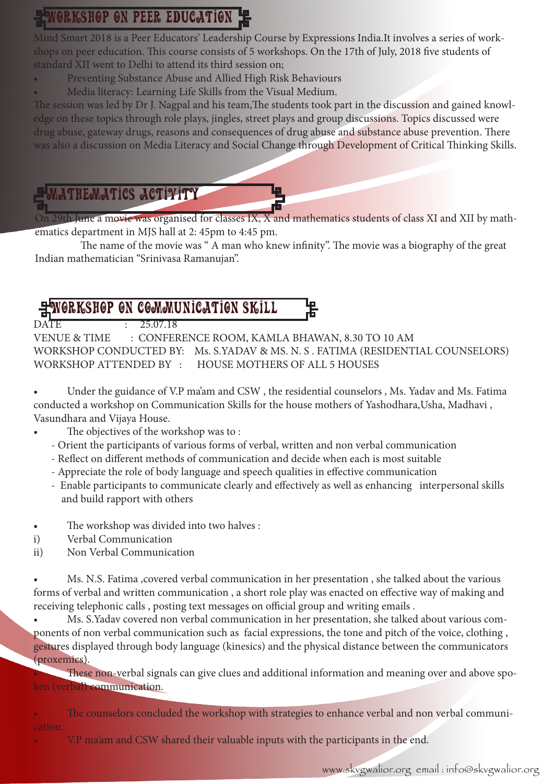# **GRKSHOP ON PEER EDUCATION**

Mind Smart 2018 is a Peer Educators' Leadership Course by Expressions India.It involves a series of workshops on peer education. This course consists of 5 workshops. On the 17th of July, 2018 five students of standard XII went to Delhi to attend its third session on;

- Preventing Substance Abuse and Allied High Risk Behaviours
- Media literacy: Learning Life Skills from the Visual Medium.

The session was led by Dr J. Nagpal and his team,The students took part in the discussion and gained knowledge on these topics through role plays, jingles, street plays and group discussions. Topics discussed were drug abuse, gateway drugs, reasons and consequences of drug abuse and substance abuse prevention. There was also a discussion on Media Literacy and Social Change through Development of Critical Thinking Skills.

# mathematics activity

29th June a movie was organised for classes  $IX$ ,  $X$  and mathematics students of class XI and XII by mathematics department in MJS hall at 2: 45pm to 4:45 pm.

 The name of the movie was " A man who knew infinity". The movie was a biography of the great Indian mathematician "Srinivasa Ramanujan".

# Workshop on communication skill

 $DATF$ 

VENUE & TIME : CONFERENCE ROOM, KAMLA BHAWAN, 8.30 TO 10 AM WORKSHOP CONDUCTED BY: Ms. S.YADAV & MS. N. S . FATIMA (RESIDENTIAL COUNSELORS) WORKSHOP ATTENDED BY : HOUSE MOTHERS OF ALL 5 HOUSES

• Under the guidance of V.P ma'am and CSW, the residential counselors, Ms. Yadav and Ms. Fatima conducted a workshop on Communication Skills for the house mothers of Yashodhara,Usha, Madhavi , Vasundhara and Vijaya House.

- The objectives of the workshop was to:
	- Orient the participants of various forms of verbal, written and non verbal communication
	- Reflect on different methods of communication and decide when each is most suitable
	- Appreciate the role of body language and speech qualities in effective communication
	- Enable participants to communicate clearly and effectively as well as enhancing interpersonal skills and build rapport with others
- The workshop was divided into two halves :
- i) Verbal Communication
- ii) Non Verbal Communication

Ms. N.S. Fatima ,covered verbal communication in her presentation, she talked about the various forms of verbal and written communication , a short role play was enacted on effective way of making and receiving telephonic calls , posting text messages on official group and writing emails .

Ms. S.Yadav covered non verbal communication in her presentation, she talked about various components of non verbal communication such as facial expressions, the tone and pitch of the voice, clothing , gestures displayed through body language (kinesics) and the physical distance between the communicators (proxemics).

These non-verbal signals can give clues and additional information and meaning over and above spoken (verbal) communication.

The counselors concluded the workshop with strategies to enhance verbal and non verbal communi-

V.P ma'am and CSW shared their valuable inputs with the participants in the end.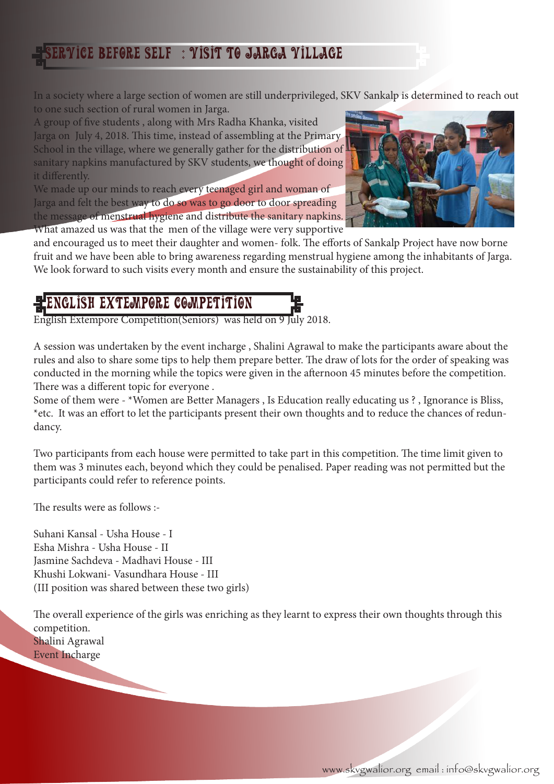## $\overline{\mathtt{V}}$ ice before self  $\; : \; \overline{\mathtt{V}}$ isit to jarga  $\overline{\mathtt{V}}$ illage

In a society where a large section of women are still underprivileged, SKV Sankalp is determined to reach out to one such section of rural women in Jarga.

A group of five students , along with Mrs Radha Khanka, visited Jarga on July 4, 2018. This time, instead of assembling at the Primary School in the village, where we generally gather for the distribution of sanitary napkins manufactured by SKV students, we thought of doing it differently.

We made up our minds to reach every teenaged girl and woman of Jarga and felt the best way to do so was to go door to door spreading the message of menstrual hygiene and distribute the sanitary napkins. What amazed us was that the men of the village were very supportive



and encouraged us to meet their daughter and women- folk. The efforts of Sankalp Project have now borne fruit and we have been able to bring awareness regarding menstrual hygiene among the inhabitants of Jarga. We look forward to such visits every month and ensure the sustainability of this project.

## IGLISH EXTEMPORE COMPETITION

English Extempore Competition(Seniors) was held on 9 July 2018.

A session was undertaken by the event incharge , Shalini Agrawal to make the participants aware about the rules and also to share some tips to help them prepare better. The draw of lots for the order of speaking was conducted in the morning while the topics were given in the afternoon 45 minutes before the competition. There was a different topic for everyone .

Some of them were - \*Women are Better Managers , Is Education really educating us ? , Ignorance is Bliss, \*etc. It was an effort to let the participants present their own thoughts and to reduce the chances of redundancy.

Two participants from each house were permitted to take part in this competition. The time limit given to them was 3 minutes each, beyond which they could be penalised. Paper reading was not permitted but the participants could refer to reference points.

The results were as follows :-

Suhani Kansal - Usha House - I Esha Mishra - Usha House - II Jasmine Sachdeva - Madhavi House - III Khushi Lokwani- Vasundhara House - III (III position was shared between these two girls)

The overall experience of the girls was enriching as they learnt to express their own thoughts through this competition. Shalini Agrawal Event Incharge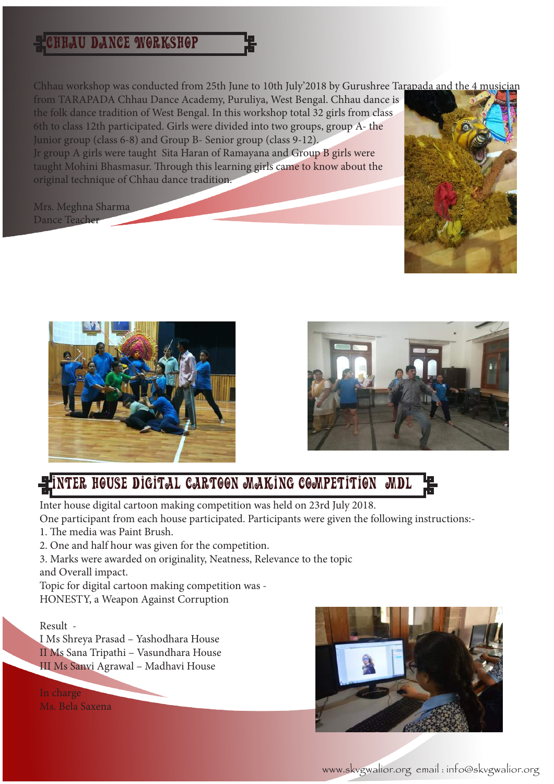## Chhau Dance Workshop

Chhau workshop was conducted from 25th June to 10th July'2018 by Gurushree Tarapada and the 4 musician

from TARAPADA Chhau Dance Academy, Puruliya, West Bengal. Chhau dance is the folk dance tradition of West Bengal. In this workshop total 32 girls from class 6th to class 12th participated. Girls were divided into two groups, group A- the Junior group (class 6-8) and Group B- Senior group (class 9-12). Jr group A girls were taught Sita Haran of Ramayana and Group B girls were taught Mohini Bhasmasur. Through this learning girls came to know about the original technique of Chhau dance tradition.

Mrs. Meghna Sharma Dance Teacher







# Inter House Digital Cartoon Making Competition Mdl

Inter house digital cartoon making competition was held on 23rd July 2018. One participant from each house participated. Participants were given the following instructions:-

- 1. The media was Paint Brush.
- 2. One and half hour was given for the competition.
- 3. Marks were awarded on originality, Neatness, Relevance to the topic and Overall impact.

Topic for digital cartoon making competition was - HONESTY, a Weapon Against Corruption

## Result -

I Ms Shreya Prasad – Yashodhara House II Ms Sana Tripathi – Vasundhara House III Ms Sanvi Agrawal – Madhavi House

In charge Ms. Bela Saxena



www.skvgwalior.org email : info@skvgwalior.org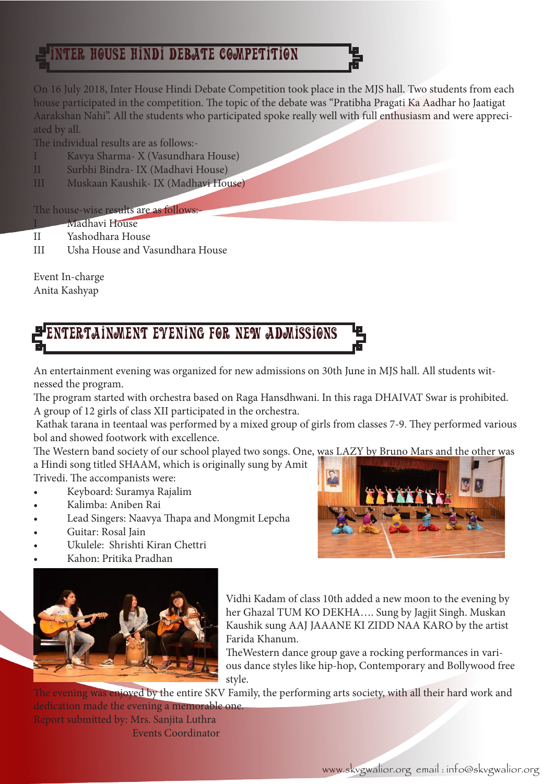# HOUSE HINDI DEBATE COMPETITION

On 16 July 2018, Inter House Hindi Debate Competition took place in the MJS hall. Two students from each house participated in the competition. The topic of the debate was "Pratibha Pragati Ka Aadhar ho Jaatigat Aarakshan Nahi". All the students who participated spoke really well with full enthusiasm and were appreciated by all.

The individual results are as follows:-

- I Kavya Sharma- X (Vasundhara House)
- II Surbhi Bindra- IX (Madhavi House)
- III Muskaan Kaushik- IX (Madhavi House)

## The house-wise results are as follows:

- **Madhavi House**
- II Yashodhara House
- III Usha House and Vasundhara House

Event In-charge Anita Kashyap

# Entertainment evening for New Admissions

An entertainment evening was organized for new admissions on 30th June in MJS hall. All students witnessed the program.

The program started with orchestra based on Raga Hansdhwani. In this raga DHAIVAT Swar is prohibited. A group of 12 girls of class XII participated in the orchestra.

 Kathak tarana in teentaal was performed by a mixed group of girls from classes 7-9. They performed various bol and showed footwork with excellence.

The Western band society of our school played two songs. One, was LAZY by Bruno Mars and the other was a Hindi song titled SHAAM, which is originally sung by Amit

Trivedi. The accompanists were:

- Keyboard: Suramya Rajalim
- Kalimba: Aniben Rai
- Lead Singers: Naavya Thapa and Mongmit Lepcha
- Guitar: Rosal Jain
- Ukulele: Shrishti Kiran Chettri
- Kahon: Pritika Pradhan



Vidhi Kadam of class 10th added a new moon to the evening by her Ghazal TUM KO DEKHA…. Sung by Jagjit Singh. Muskan Kaushik sung AAJ JAAANE KI ZIDD NAA KARO by the artist Farida Khanum.

TheWestern dance group gave a rocking performances in various dance styles like hip-hop, Contemporary and Bollywood free style.

The evening was enjoyed by the entire SKV Family, the performing arts society, with all their hard work and dedication made the evening a memorable one.

Report submitted by: Mrs. Sanjita Luthra Events Coordinator

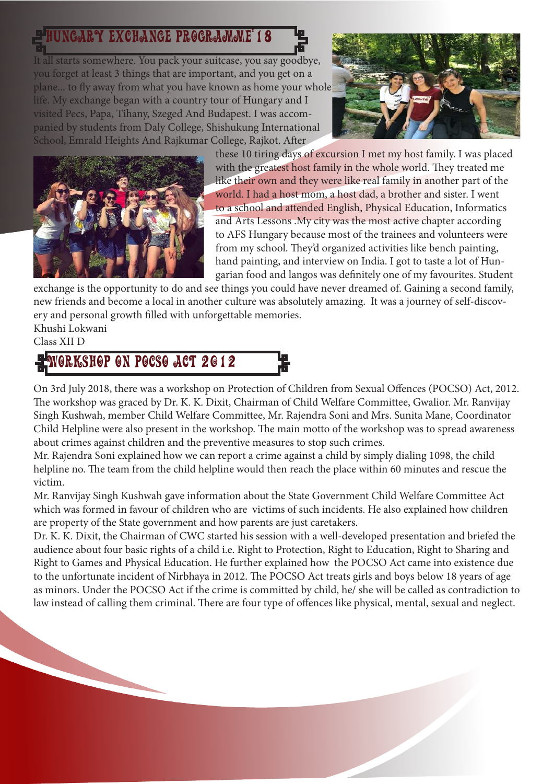# Hungary exchange programme'18

It all starts somewhere. You pack your suitcase, you say goodbye, you forget at least 3 things that are important, and you get on a plane... to fly away from what you have known as home your whole life. My exchange began with a country tour of Hungary and I visited Pecs, Papa, Tihany, Szeged And Budapest. I was accompanied by students from Daly College, Shishukung International School, Emrald Heights And Rajkumar College, Rajkot. After





these 10 tiring days of excursion I met my host family. I was placed with the greatest host family in the whole world. They treated me like their own and they were like real family in another part of the world. I had a host mom, a host dad, a brother and sister. I went to a school and attended English, Physical Education, Informatics and Arts Lessons .My city was the most active chapter according to AFS Hungary because most of the trainees and volunteers were from my school. They'd organized activities like bench painting, hand painting, and interview on India. I got to taste a lot of Hungarian food and langos was definitely one of my favourites. Student

exchange is the opportunity to do and see things you could have never dreamed of. Gaining a second family, new friends and become a local in another culture was absolutely amazing. It was a journey of self-discovery and personal growth filled with unforgettable memories.

#### Khushi Lokwani Class XII D

# WORKSHOP ON POCSO ACT 2012

On 3rd July 2018, there was a workshop on Protection of Children from Sexual Offences (POCSO) Act, 2012. The workshop was graced by Dr. K. K. Dixit, Chairman of Child Welfare Committee, Gwalior. Mr. Ranvijay Singh Kushwah, member Child Welfare Committee, Mr. Rajendra Soni and Mrs. Sunita Mane, Coordinator Child Helpline were also present in the workshop. The main motto of the workshop was to spread awareness about crimes against children and the preventive measures to stop such crimes.

Mr. Rajendra Soni explained how we can report a crime against a child by simply dialing 1098, the child helpline no. The team from the child helpline would then reach the place within 60 minutes and rescue the victim.

Mr. Ranvijay Singh Kushwah gave information about the State Government Child Welfare Committee Act which was formed in favour of children who are victims of such incidents. He also explained how children are property of the State government and how parents are just caretakers.

Dr. K. K. Dixit, the Chairman of CWC started his session with a well-developed presentation and briefed the audience about four basic rights of a child i.e. Right to Protection, Right to Education, Right to Sharing and Right to Games and Physical Education. He further explained how the POCSO Act came into existence due to the unfortunate incident of Nirbhaya in 2012. The POCSO Act treats girls and boys below 18 years of age as minors. Under the POCSO Act if the crime is committed by child, he/ she will be called as contradiction to law instead of calling them criminal. There are four type of offences like physical, mental, sexual and neglect.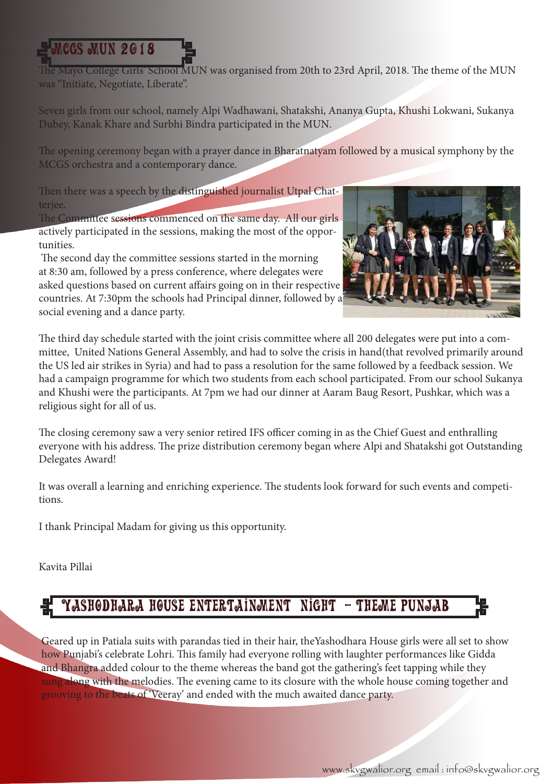# **MCGS MUN 2018**

The Mayo College Girls' School MUN was organised from 20th to 23rd April, 2018. The theme of the MUN was "Initiate, Negotiate, Liberate".

Seven girls from our school, namely Alpi Wadhawani, Shatakshi, Ananya Gupta, Khushi Lokwani, Sukanya Dubey, Kanak Khare and Surbhi Bindra participated in the MUN.

The opening ceremony began with a prayer dance in Bharatnatyam followed by a musical symphony by the MCGS orchestra and a contemporary dance.

Then there was a speech by the distinguished journalist Utpal Chatterjee.

The Committee sessions commenced on the same day. All our girls actively participated in the sessions, making the most of the opportunities.

 The second day the committee sessions started in the morning at 8:30 am, followed by a press conference, where delegates were asked questions based on current affairs going on in their respective countries. At 7:30pm the schools had Principal dinner, followed by a social evening and a dance party.



The third day schedule started with the joint crisis committee where all 200 delegates were put into a committee, United Nations General Assembly, and had to solve the crisis in hand(that revolved primarily around the US led air strikes in Syria) and had to pass a resolution for the same followed by a feedback session. We had a campaign programme for which two students from each school participated. From our school Sukanya and Khushi were the participants. At 7pm we had our dinner at Aaram Baug Resort, Pushkar, which was a religious sight for all of us.

The closing ceremony saw a very senior retired IFS officer coming in as the Chief Guest and enthralling everyone with his address. The prize distribution ceremony began where Alpi and Shatakshi got Outstanding Delegates Award!

It was overall a learning and enriching experience. The students look forward for such events and competitions.

I thank Principal Madam for giving us this opportunity.

Kavita Pillai

## (Yashodhara House ENTERTAINMENT night - Theme punjab

Geared up in Patiala suits with parandas tied in their hair, theYashodhara House girls were all set to show how Punjabi's celebrate Lohri. This family had everyone rolling with laughter performances like Gidda and Bhangra added colour to the theme whereas the band got the gathering's feet tapping while they sung along with the melodies. The evening came to its closure with the whole house coming together and grooving to the beats of 'Veeray' and ended with the much awaited dance party.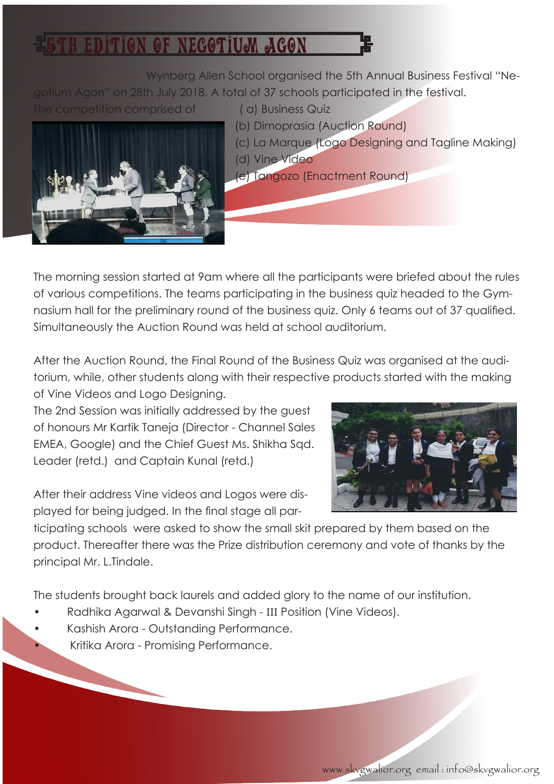# 5TH EDITION OF NEGOTIUM AGON

 Wynberg Allen School organised the 5th Annual Business Festival "Negotium Agon" on 28th July 2018. A total of 37 schools participated in the festival.

The competition comprised of (a) Business Quiz



- (b) Dimoprasia (Auction Round)
- (c) La Marque (Logo Designing and Tagline Making) (d) Vine Video
- (e) Tangozo (Enactment Round)

The morning session started at 9am where all the participants were briefed about the rules of various competitions. The teams participating in the business quiz headed to the Gymnasium hall for the preliminary round of the business quiz. Only 6 teams out of 37 qualified. Simultaneously the Auction Round was held at school auditorium.

After the Auction Round, the Final Round of the Business Quiz was organised at the auditorium, while, other students along with their respective products started with the making of Vine Videos and Logo Designing.

The 2nd Session was initially addressed by the guest of honours Mr Kartik Taneja (Director - Channel Sales EMEA, Google) and the Chief Guest Ms. Shikha Sqd. Leader (retd.) and Captain Kunal (retd.)

After their address Vine videos and Logos were displayed for being judged. In the final stage all par-



ticipating schools were asked to show the small skit prepared by them based on the product. Thereafter there was the Prize distribution ceremony and vote of thanks by the principal Mr. L.Tindale.

The students brought back laurels and added glory to the name of our institution.

- Radhika Agarwal & Devanshi Singh III Position (Vine Videos).
- Kashish Arora Outstanding Performance.
	- Kritika Arora Promising Performance.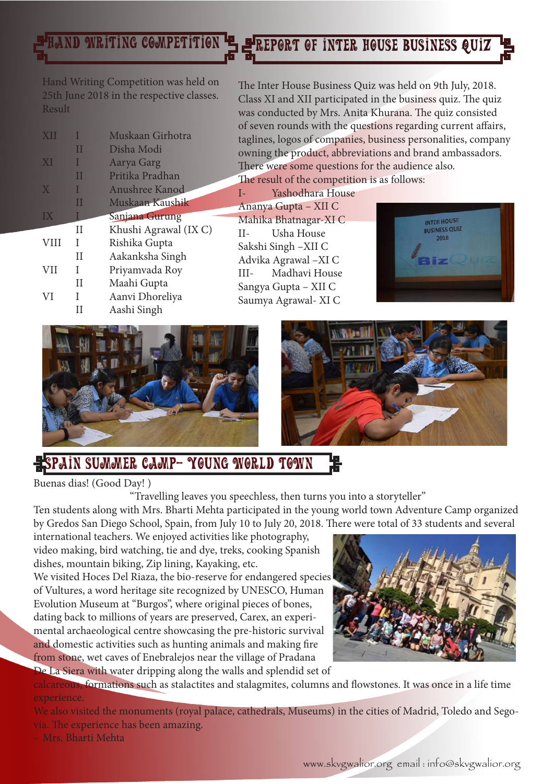# LAND WRITING COMPETITION  $\mathbf{H}$  Preport of inter house business quiz

Hand Writing Competition was held on 25th June 2018 in the respective classes. Result

| XII         |   | Muskaan Girhotra      |
|-------------|---|-----------------------|
|             | П | Disha Modi            |
| XI          |   | Aarya Garg            |
|             | Ш | Pritika Pradhan       |
| X           |   | Anushree Kanod        |
|             | Ш | Muskaan Kaushik       |
| IX          |   | Sanjana Gurung        |
|             | Н | Khushi Agrawal (IX C) |
|             |   | Rishika Gupta         |
| <b>VIII</b> | T |                       |
|             | H | Aakanksha Singh       |
| <b>VII</b>  | I | Priyamvada Roy        |
|             | Н | Maahi Gupta           |
| VI          | I | Aanvi Dhoreliya       |
|             | Ш | Aashi Singh           |

The Inter House Business Quiz was held on 9th July, 2018. Class XI and XII participated in the business quiz. The quiz was conducted by Mrs. Anita Khurana. The quiz consisted of seven rounds with the questions regarding current affairs, taglines, logos of companies, business personalities, company owning the product, abbreviations and brand ambassadors. There were some questions for the audience also.

The result of the competition is as follows:

I- Yashodhara House Ananya Gupta – XII C Mahika Bhatnagar-XI C II- Usha House Sakshi Singh –XII C Advika Agrawal –XI C III- Madhavi House Sangya Gupta – XII C Saumya Agrawal- XI C







# SPAIN SUMMER CAMP- YOUNG WORLD TOWN

Buenas dias! (Good Day! )

"Travelling leaves you speechless, then turns you into a storyteller"

Ten students along with Mrs. Bharti Mehta participated in the young world town Adventure Camp organized by Gredos San Diego School, Spain, from July 10 to July 20, 2018. There were total of 33 students and several

international teachers. We enjoyed activities like photography, video making, bird watching, tie and dye, treks, cooking Spanish dishes, mountain biking, Zip lining, Kayaking, etc.

We visited Hoces Del Riaza, the bio-reserve for endangered species of Vultures, a word heritage site recognized by UNESCO, Human Evolution Museum at "Burgos", where original pieces of bones, dating back to millions of years are preserved, Carex, an experimental archaeological centre showcasing the pre-historic survival and domestic activities such as hunting animals and making fire from stone, wet caves of Enebralejos near the village of Pradana De La Siera with water dripping along the walls and splendid set of



calcareous, formations such as stalactites and stalagmites, columns and flowstones. It was once in a life time experience.

We also visited the monuments (royal palace, cathedrals, Museums) in the cities of Madrid, Toledo and Segovia. The experience has been amazing.

- Mrs. Bharti Mehta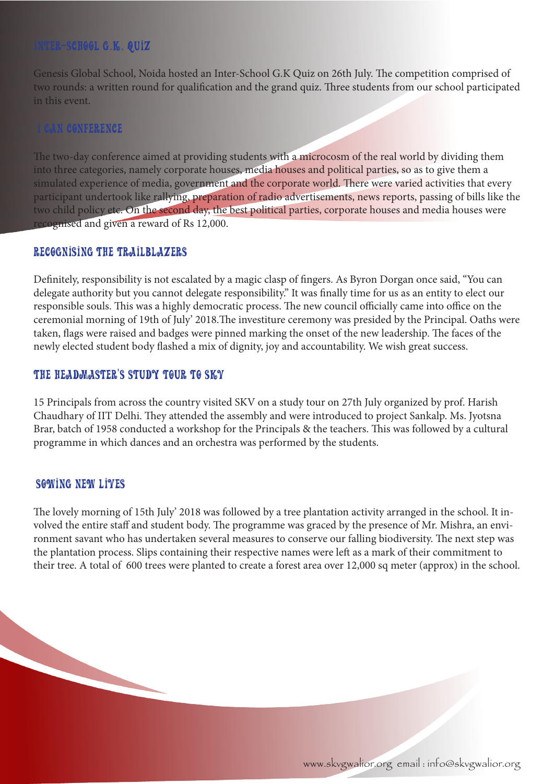## Inter-School G.K. Quiz

Genesis Global School, Noida hosted an Inter-School G.K Quiz on 26th July. The competition comprised of two rounds: a written round for qualification and the grand quiz. Three students from our school participated in this event.

## I can conference

The two-day conference aimed at providing students with a microcosm of the real world by dividing them into three categories, namely corporate houses, media houses and political parties, so as to give them a simulated experience of media, government and the corporate world. There were varied activities that every participant undertook like rallying, preparation of radio advertisements, news reports, passing of bills like the two child policy etc. On the second day, the best political parties, corporate houses and media houses were recognised and given a reward of Rs 12,000.

## RECOGNISING THE TRAILBLAZERS

Definitely, responsibility is not escalated by a magic clasp of fingers. As Byron Dorgan once said, "You can delegate authority but you cannot delegate responsibility." It was finally time for us as an entity to elect our responsible souls. This was a highly democratic process. The new council officially came into office on the ceremonial morning of 19th of July' 2018.The investiture ceremony was presided by the Principal. Oaths were taken, flags were raised and badges were pinned marking the onset of the new leadership. The faces of the newly elected student body flashed a mix of dignity, joy and accountability. We wish great success.

## THE HEADMASTER'S STUDY TOUR TO SKY

15 Principals from across the country visited SKV on a study tour on 27th July organized by prof. Harish Chaudhary of IIT Delhi. They attended the assembly and were introduced to project Sankalp. Ms. Jyotsna Brar, batch of 1958 conducted a workshop for the Principals & the teachers. This was followed by a cultural programme in which dances and an orchestra was performed by the students.

## SOOWING NEOW LIVES

The lovely morning of 15th July' 2018 was followed by a tree plantation activity arranged in the school. It involved the entire staff and student body. The programme was graced by the presence of Mr. Mishra, an environment savant who has undertaken several measures to conserve our falling biodiversity. The next step was the plantation process. Slips containing their respective names were left as a mark of their commitment to their tree. A total of 600 trees were planted to create a forest area over 12,000 sq meter (approx) in the school.